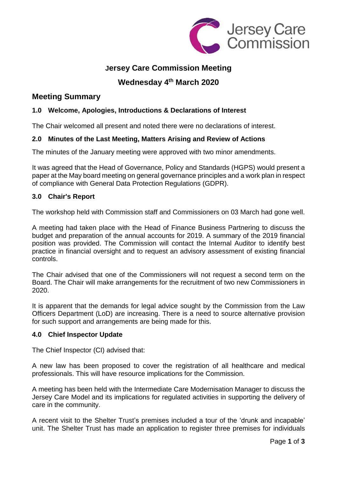

## **Jersey Care Commission Meeting**

# **Wednesday 4 th March 2020**

## **Meeting Summary**

## **1.0 Welcome, Apologies, Introductions & Declarations of Interest**

The Chair welcomed all present and noted there were no declarations of interest.

## **2.0 Minutes of the Last Meeting, Matters Arising and Review of Actions**

The minutes of the January meeting were approved with two minor amendments.

It was agreed that the Head of Governance, Policy and Standards (HGPS) would present a paper at the May board meeting on general governance principles and a work plan in respect of compliance with General Data Protection Regulations (GDPR).

## **3.0 Chair's Report**

The workshop held with Commission staff and Commissioners on 03 March had gone well.

A meeting had taken place with the Head of Finance Business Partnering to discuss the budget and preparation of the annual accounts for 2019. A summary of the 2019 financial position was provided. The Commission will contact the Internal Auditor to identify best practice in financial oversight and to request an advisory assessment of existing financial controls.

The Chair advised that one of the Commissioners will not request a second term on the Board. The Chair will make arrangements for the recruitment of two new Commissioners in 2020.

It is apparent that the demands for legal advice sought by the Commission from the Law Officers Department (LoD) are increasing. There is a need to source alternative provision for such support and arrangements are being made for this.

## **4.0 Chief Inspector Update**

The Chief Inspector (CI) advised that:

A new law has been proposed to cover the registration of all healthcare and medical professionals. This will have resource implications for the Commission.

A meeting has been held with the Intermediate Care Modernisation Manager to discuss the Jersey Care Model and its implications for regulated activities in supporting the delivery of care in the community.

A recent visit to the Shelter Trust's premises included a tour of the 'drunk and incapable' unit. The Shelter Trust has made an application to register three premises for individuals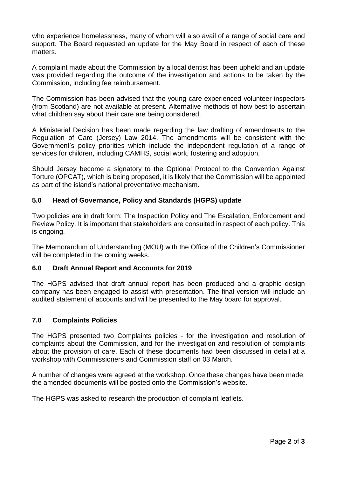who experience homelessness, many of whom will also avail of a range of social care and support. The Board requested an update for the May Board in respect of each of these matters.

A complaint made about the Commission by a local dentist has been upheld and an update was provided regarding the outcome of the investigation and actions to be taken by the Commission, including fee reimbursement.

The Commission has been advised that the young care experienced volunteer inspectors (from Scotland) are not available at present. Alternative methods of how best to ascertain what children say about their care are being considered.

A Ministerial Decision has been made regarding the law drafting of amendments to the Regulation of Care (Jersey) Law 2014. The amendments will be consistent with the Government's policy priorities which include the independent regulation of a range of services for children, including CAMHS, social work, fostering and adoption.

Should Jersey become a signatory to the Optional Protocol to the Convention Against Torture (OPCAT), which is being proposed, it is likely that the Commission will be appointed as part of the island's national preventative mechanism.

#### **5.0 Head of Governance, Policy and Standards (HGPS) update**

Two policies are in draft form: The Inspection Policy and The Escalation, Enforcement and Review Policy. It is important that stakeholders are consulted in respect of each policy. This is ongoing.

The Memorandum of Understanding (MOU) with the Office of the Children's Commissioner will be completed in the coming weeks.

#### **6.0 Draft Annual Report and Accounts for 2019**

The HGPS advised that draft annual report has been produced and a graphic design company has been engaged to assist with presentation. The final version will include an audited statement of accounts and will be presented to the May board for approval.

#### **7.0 Complaints Policies**

The HGPS presented two Complaints policies - for the investigation and resolution of complaints about the Commission, and for the investigation and resolution of complaints about the provision of care. Each of these documents had been discussed in detail at a workshop with Commissioners and Commission staff on 03 March.

A number of changes were agreed at the workshop. Once these changes have been made, the amended documents will be posted onto the Commission's website.

The HGPS was asked to research the production of complaint leaflets.